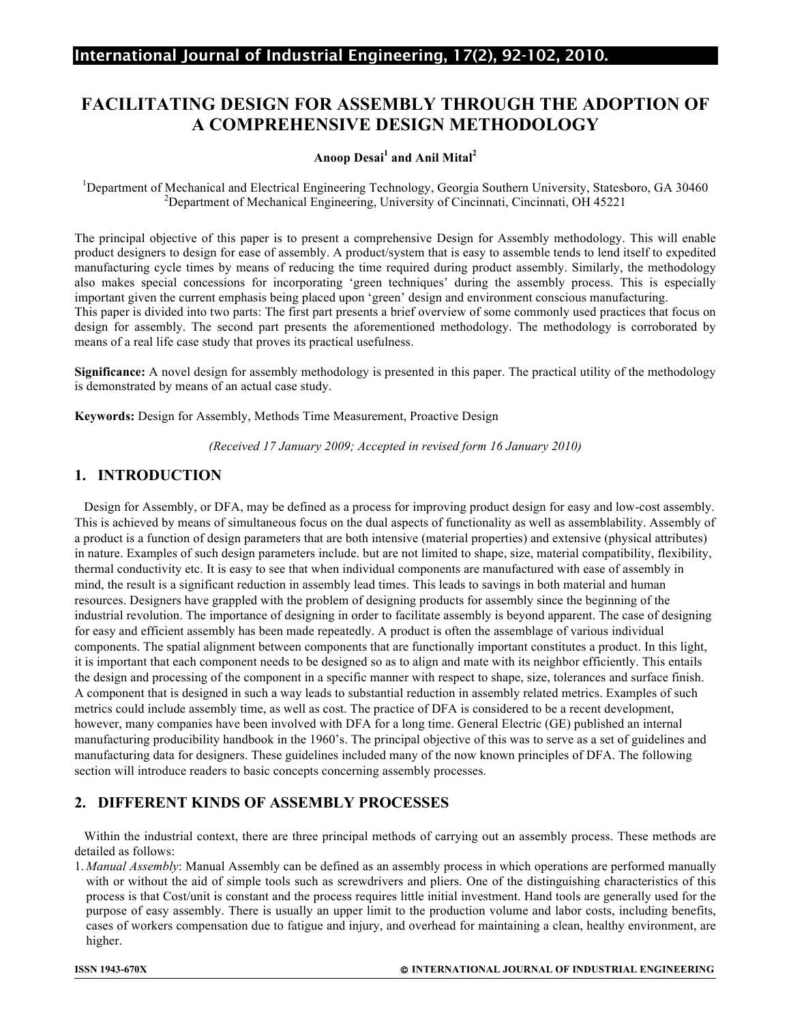# International Journal of Industrial Engineering, 17(2), 92-102, 2010.

# **FACILITATING DESIGN FOR ASSEMBLY THROUGH THE ADOPTION OF A COMPREHENSIVE DESIGN METHODOLOGY**

#### **Anoop Desai<sup>1</sup> and Anil Mital<sup>2</sup>**

<sup>1</sup>Department of Mechanical and Electrical Engineering Technology, Georgia Southern University, Statesboro, GA 30460 <sup>2</sup><br><sup>2</sup>Department of Mechanical Engineering University of Ginainpati, Ginainpati, OH 45221 <sup>2</sup>Department of Mechanical Engineering, University of Cincinnati, Cincinnati, OH 45221

The principal objective of this paper is to present a comprehensive Design for Assembly methodology. This will enable product designers to design for ease of assembly. A product/system that is easy to assemble tends to lend itself to expedited manufacturing cycle times by means of reducing the time required during product assembly. Similarly, the methodology also makes special concessions for incorporating 'green techniques' during the assembly process. This is especially important given the current emphasis being placed upon 'green' design and environment conscious manufacturing. This paper is divided into two parts: The first part presents a brief overview of some commonly used practices that focus on design for assembly. The second part presents the aforementioned methodology. The methodology is corroborated by means of a real life case study that proves its practical usefulness.

**Significance:** A novel design for assembly methodology is presented in this paper. The practical utility of the methodology is demonstrated by means of an actual case study.

**Keywords:** Design for Assembly, Methods Time Measurement, Proactive Design

*(Received 17 January 2009; Accepted in revised form 16 January 2010)*

#### **1. INTRODUCTION**

 Design for Assembly, or DFA, may be defined as a process for improving product design for easy and low-cost assembly. This is achieved by means of simultaneous focus on the dual aspects of functionality as well as assemblability. Assembly of a product is a function of design parameters that are both intensive (material properties) and extensive (physical attributes) in nature. Examples of such design parameters include. but are not limited to shape, size, material compatibility, flexibility, thermal conductivity etc. It is easy to see that when individual components are manufactured with ease of assembly in mind, the result is a significant reduction in assembly lead times. This leads to savings in both material and human resources. Designers have grappled with the problem of designing products for assembly since the beginning of the industrial revolution. The importance of designing in order to facilitate assembly is beyond apparent. The case of designing for easy and efficient assembly has been made repeatedly. A product is often the assemblage of various individual components. The spatial alignment between components that are functionally important constitutes a product. In this light, it is important that each component needs to be designed so as to align and mate with its neighbor efficiently. This entails the design and processing of the component in a specific manner with respect to shape, size, tolerances and surface finish. A component that is designed in such a way leads to substantial reduction in assembly related metrics. Examples of such metrics could include assembly time, as well as cost. The practice of DFA is considered to be a recent development, however, many companies have been involved with DFA for a long time. General Electric (GE) published an internal manufacturing producibility handbook in the 1960's. The principal objective of this was to serve as a set of guidelines and manufacturing data for designers. These guidelines included many of the now known principles of DFA. The following section will introduce readers to basic concepts concerning assembly processes.

# **2. DIFFERENT KINDS OF ASSEMBLY PROCESSES**

 Within the industrial context, there are three principal methods of carrying out an assembly process. These methods are detailed as follows:

1. *Manual Assembly*: Manual Assembly can be defined as an assembly process in which operations are performed manually with or without the aid of simple tools such as screwdrivers and pliers. One of the distinguishing characteristics of this process is that Cost/unit is constant and the process requires little initial investment. Hand tools are generally used for the purpose of easy assembly. There is usually an upper limit to the production volume and labor costs, including benefits, cases of workers compensation due to fatigue and injury, and overhead for maintaining a clean, healthy environment, are higher.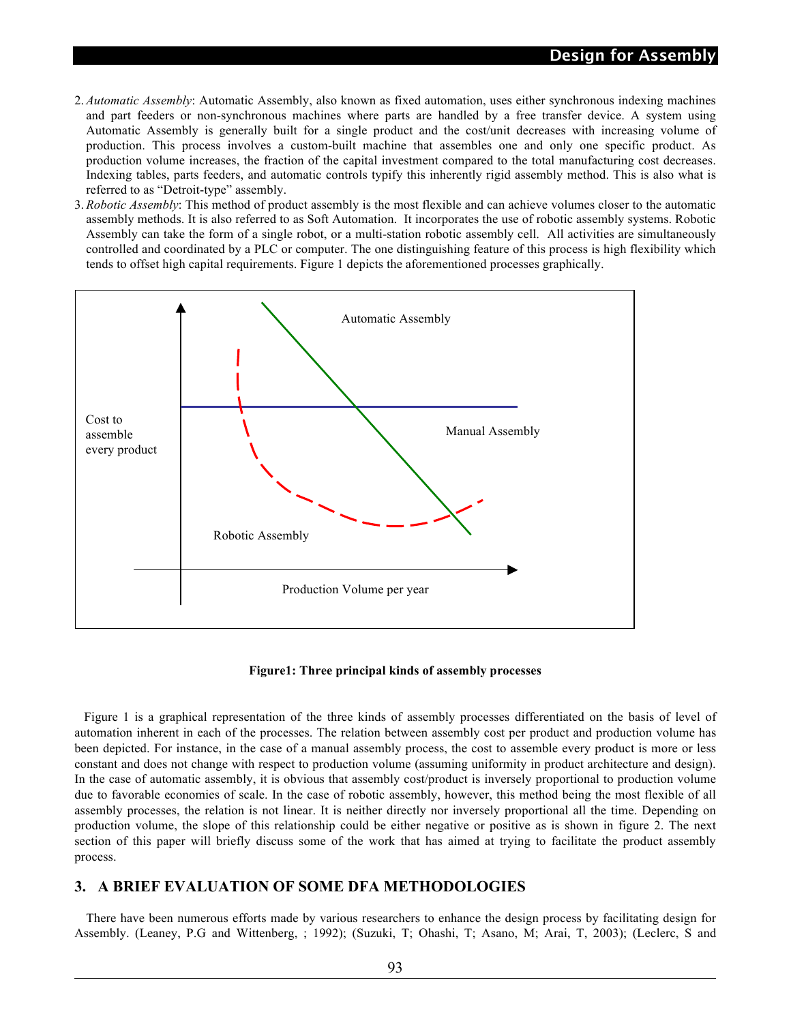- 2. *Automatic Assembly*: Automatic Assembly, also known as fixed automation, uses either synchronous indexing machines and part feeders or non-synchronous machines where parts are handled by a free transfer device. A system using Automatic Assembly is generally built for a single product and the cost/unit decreases with increasing volume of production. This process involves a custom-built machine that assembles one and only one specific product. As production volume increases, the fraction of the capital investment compared to the total manufacturing cost decreases. Indexing tables, parts feeders, and automatic controls typify this inherently rigid assembly method. This is also what is referred to as "Detroit-type" assembly.
- 3. *Robotic Assembly*: This method of product assembly is the most flexible and can achieve volumes closer to the automatic assembly methods. It is also referred to as Soft Automation. It incorporates the use of robotic assembly systems. Robotic Assembly can take the form of a single robot, or a multi-station robotic assembly cell. All activities are simultaneously controlled and coordinated by a PLC or computer. The one distinguishing feature of this process is high flexibility which tends to offset high capital requirements. Figure 1 depicts the aforementioned processes graphically.



**Figure1: Three principal kinds of assembly processes**

 Figure 1 is a graphical representation of the three kinds of assembly processes differentiated on the basis of level of automation inherent in each of the processes. The relation between assembly cost per product and production volume has been depicted. For instance, in the case of a manual assembly process, the cost to assemble every product is more or less constant and does not change with respect to production volume (assuming uniformity in product architecture and design). In the case of automatic assembly, it is obvious that assembly cost/product is inversely proportional to production volume due to favorable economies of scale. In the case of robotic assembly, however, this method being the most flexible of all assembly processes, the relation is not linear. It is neither directly nor inversely proportional all the time. Depending on production volume, the slope of this relationship could be either negative or positive as is shown in figure 2. The next section of this paper will briefly discuss some of the work that has aimed at trying to facilitate the product assembly process.

### **3. A BRIEF EVALUATION OF SOME DFA METHODOLOGIES**

There have been numerous efforts made by various researchers to enhance the design process by facilitating design for Assembly. (Leaney, P.G and Wittenberg, ; 1992); (Suzuki, T; Ohashi, T; Asano, M; Arai, T, 2003); (Leclerc, S and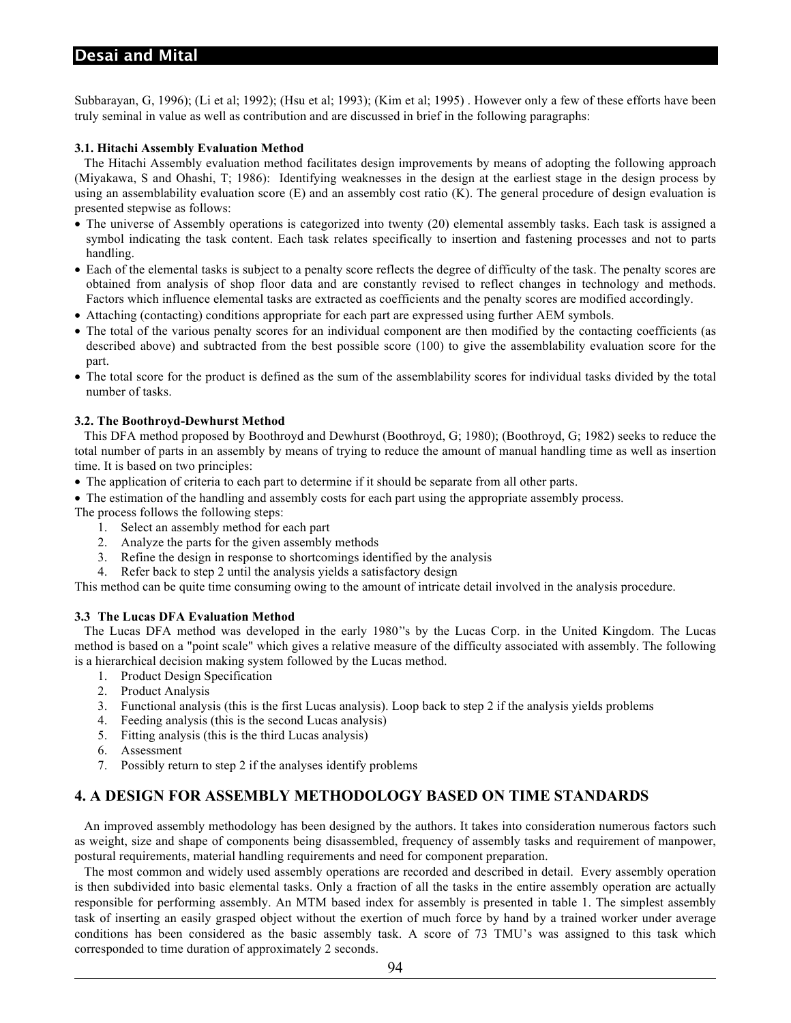## **Desai and Mital**

Subbarayan, G, 1996); (Li et al; 1992); (Hsu et al; 1993); (Kim et al; 1995) . However only a few of these efforts have been truly seminal in value as well as contribution and are discussed in brief in the following paragraphs:

#### **3.1. Hitachi Assembly Evaluation Method**

 The Hitachi Assembly evaluation method facilitates design improvements by means of adopting the following approach (Miyakawa, S and Ohashi, T; 1986): Identifying weaknesses in the design at the earliest stage in the design process by using an assemblability evaluation score  $(E)$  and an assembly cost ratio  $(K)$ . The general procedure of design evaluation is presented stepwise as follows:

- The universe of Assembly operations is categorized into twenty (20) elemental assembly tasks. Each task is assigned a symbol indicating the task content. Each task relates specifically to insertion and fastening processes and not to parts handling.
- Each of the elemental tasks is subject to a penalty score reflects the degree of difficulty of the task. The penalty scores are obtained from analysis of shop floor data and are constantly revised to reflect changes in technology and methods. Factors which influence elemental tasks are extracted as coefficients and the penalty scores are modified accordingly.
- Attaching (contacting) conditions appropriate for each part are expressed using further AEM symbols.
- The total of the various penalty scores for an individual component are then modified by the contacting coefficients (as described above) and subtracted from the best possible score (100) to give the assemblability evaluation score for the part.
- The total score for the product is defined as the sum of the assemblability scores for individual tasks divided by the total number of tasks.

#### **3.2. The Boothroyd-Dewhurst Method**

 This DFA method proposed by Boothroyd and Dewhurst (Boothroyd, G; 1980); (Boothroyd, G; 1982) seeks to reduce the total number of parts in an assembly by means of trying to reduce the amount of manual handling time as well as insertion time. It is based on two principles:

- The application of criteria to each part to determine if it should be separate from all other parts.
- The estimation of the handling and assembly costs for each part using the appropriate assembly process.

The process follows the following steps:

- 1. Select an assembly method for each part
- 2. Analyze the parts for the given assembly methods
- 3. Refine the design in response to shortcomings identified by the analysis
- 4. Refer back to step 2 until the analysis yields a satisfactory design

This method can be quite time consuming owing to the amount of intricate detail involved in the analysis procedure.

#### **3.3 The Lucas DFA Evaluation Method**

 The Lucas DFA method was developed in the early 1980''s by the Lucas Corp. in the United Kingdom. The Lucas method is based on a "point scale" which gives a relative measure of the difficulty associated with assembly. The following is a hierarchical decision making system followed by the Lucas method.

- 1. Product Design Specification
- 2. Product Analysis
- 3. Functional analysis (this is the first Lucas analysis). Loop back to step 2 if the analysis yields problems
- 4. Feeding analysis (this is the second Lucas analysis)
- 5. Fitting analysis (this is the third Lucas analysis)
- 6. Assessment
- 7. Possibly return to step 2 if the analyses identify problems

# **4. A DESIGN FOR ASSEMBLY METHODOLOGY BASED ON TIME STANDARDS**

 An improved assembly methodology has been designed by the authors. It takes into consideration numerous factors such as weight, size and shape of components being disassembled, frequency of assembly tasks and requirement of manpower, postural requirements, material handling requirements and need for component preparation.

 The most common and widely used assembly operations are recorded and described in detail. Every assembly operation is then subdivided into basic elemental tasks. Only a fraction of all the tasks in the entire assembly operation are actually responsible for performing assembly. An MTM based index for assembly is presented in table 1. The simplest assembly task of inserting an easily grasped object without the exertion of much force by hand by a trained worker under average conditions has been considered as the basic assembly task. A score of 73 TMU's was assigned to this task which corresponded to time duration of approximately 2 seconds.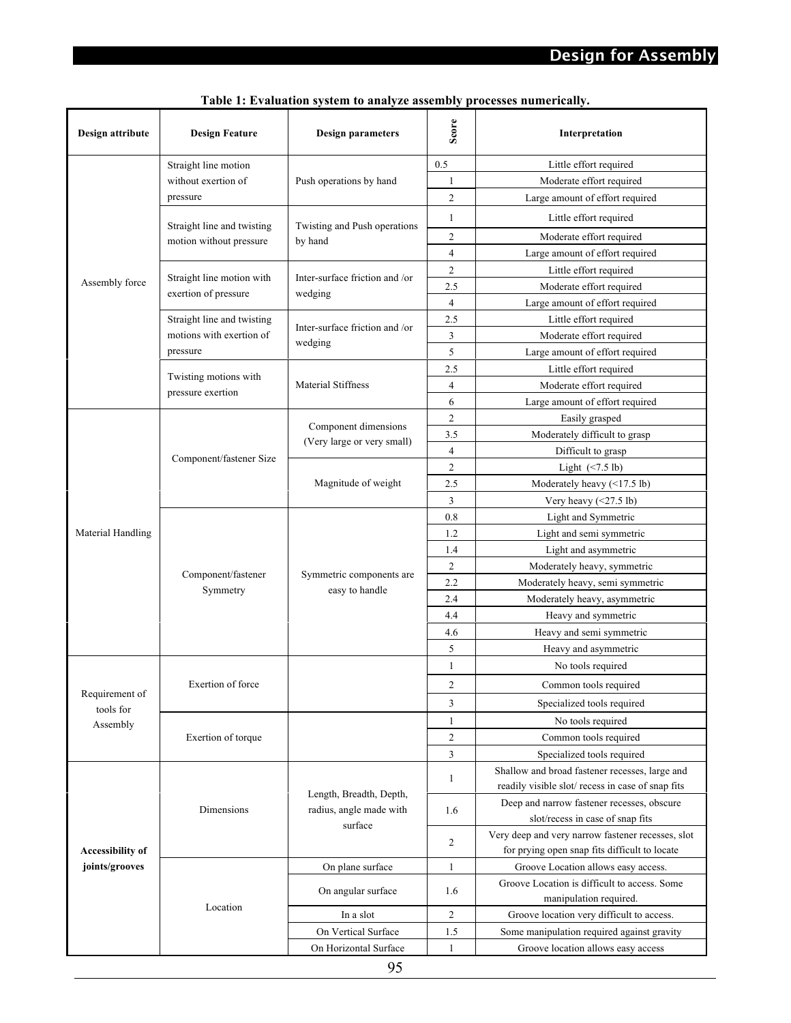| Design attribute            | <b>Design Feature</b>          | <b>Design parameters</b>                           | Score                            | Interpretation                                    |  |  |  |
|-----------------------------|--------------------------------|----------------------------------------------------|----------------------------------|---------------------------------------------------|--|--|--|
|                             | Straight line motion           |                                                    | 0.5                              | Little effort required                            |  |  |  |
|                             | without exertion of            | Push operations by hand                            | 1                                | Moderate effort required                          |  |  |  |
|                             | pressure                       |                                                    | $\overline{c}$                   | Large amount of effort required                   |  |  |  |
|                             | Straight line and twisting     | Twisting and Push operations                       | 1                                | Little effort required                            |  |  |  |
|                             | motion without pressure        | by hand                                            | 2                                | Moderate effort required                          |  |  |  |
|                             |                                |                                                    | $\overline{4}$                   | Large amount of effort required                   |  |  |  |
|                             |                                |                                                    | $\overline{c}$                   | Little effort required                            |  |  |  |
| Assembly force              | Straight line motion with      | Inter-surface friction and /or                     | 2.5                              | Moderate effort required                          |  |  |  |
|                             | exertion of pressure           | wedging                                            | $\overline{4}$                   | Large amount of effort required                   |  |  |  |
|                             | Straight line and twisting     |                                                    | 2.5                              | Little effort required                            |  |  |  |
|                             | motions with exertion of       | Inter-surface friction and /or                     | $\overline{3}$                   | Moderate effort required                          |  |  |  |
|                             | pressure                       | wedging                                            | 5                                | Large amount of effort required                   |  |  |  |
|                             |                                |                                                    | 2.5                              | Little effort required                            |  |  |  |
|                             | Twisting motions with          | <b>Material Stiffness</b>                          | $\overline{4}$                   | Moderate effort required                          |  |  |  |
|                             | pressure exertion              |                                                    | 6                                | Large amount of effort required                   |  |  |  |
|                             |                                |                                                    | $\overline{c}$<br>Easily grasped |                                                   |  |  |  |
|                             |                                | Component dimensions                               | 3.5                              | Moderately difficult to grasp                     |  |  |  |
|                             | Component/fastener Size        | (Very large or very small)                         | $\overline{4}$                   | Difficult to grasp                                |  |  |  |
| Material Handling           |                                |                                                    | $\overline{c}$                   | Light $(\leq 7.5 \text{ lb})$                     |  |  |  |
|                             |                                | Magnitude of weight                                | 2.5                              | Moderately heavy $(\leq 17.5 \text{ lb})$         |  |  |  |
|                             |                                |                                                    | 3                                | Very heavy $(\leq 27.5 \text{ lb})$               |  |  |  |
|                             | Component/fastener<br>Symmetry |                                                    | 0.8                              | Light and Symmetric                               |  |  |  |
|                             |                                |                                                    | 1.2                              | Light and semi symmetric                          |  |  |  |
|                             |                                |                                                    | 1.4                              | Light and asymmetric                              |  |  |  |
|                             |                                |                                                    | $\overline{c}$                   | Moderately heavy, symmetric                       |  |  |  |
|                             |                                | Symmetric components are                           | 2.2                              | Moderately heavy, semi symmetric                  |  |  |  |
|                             |                                | easy to handle                                     | 2.4                              | Moderately heavy, asymmetric                      |  |  |  |
|                             |                                |                                                    | 4.4                              | Heavy and symmetric                               |  |  |  |
|                             |                                |                                                    | 4.6                              | Heavy and semi symmetric                          |  |  |  |
|                             |                                |                                                    | 5                                | Heavy and asymmetric                              |  |  |  |
|                             |                                |                                                    | 1                                | No tools required                                 |  |  |  |
|                             | Exertion of force              |                                                    | 2                                | Common tools required                             |  |  |  |
| Requirement of<br>tools for |                                |                                                    | 3                                | Specialized tools required                        |  |  |  |
| Assembly                    |                                |                                                    | 1                                | No tools required                                 |  |  |  |
|                             | Exertion of torque             |                                                    | $\overline{c}$                   | Common tools required                             |  |  |  |
|                             |                                |                                                    | 3                                | Specialized tools required                        |  |  |  |
|                             |                                |                                                    |                                  | Shallow and broad fastener recesses, large and    |  |  |  |
|                             |                                |                                                    | 1                                | readily visible slot/recess in case of snap fits  |  |  |  |
|                             | Dimensions                     | Length, Breadth, Depth,<br>radius, angle made with | 1.6                              | Deep and narrow fastener recesses, obscure        |  |  |  |
|                             |                                | surface                                            |                                  | slot/recess in case of snap fits                  |  |  |  |
|                             |                                |                                                    | $\overline{c}$                   | Very deep and very narrow fastener recesses, slot |  |  |  |
| Accessibility of            |                                |                                                    |                                  | for prying open snap fits difficult to locate     |  |  |  |
| joints/grooves              |                                | On plane surface                                   | $\mathbf{1}$                     | Groove Location allows easy access.               |  |  |  |
|                             |                                | On angular surface                                 | 1.6                              | Groove Location is difficult to access. Some      |  |  |  |
|                             | Location                       |                                                    |                                  | manipulation required.                            |  |  |  |
|                             |                                | In a slot                                          | $\overline{c}$                   | Groove location very difficult to access.         |  |  |  |
|                             |                                | On Vertical Surface                                | 1.5                              | Some manipulation required against gravity        |  |  |  |
|                             |                                | On Horizontal Surface                              | 1                                | Groove location allows easy access                |  |  |  |

**Table 1: Evaluation system to analyze assembly processes numerically.**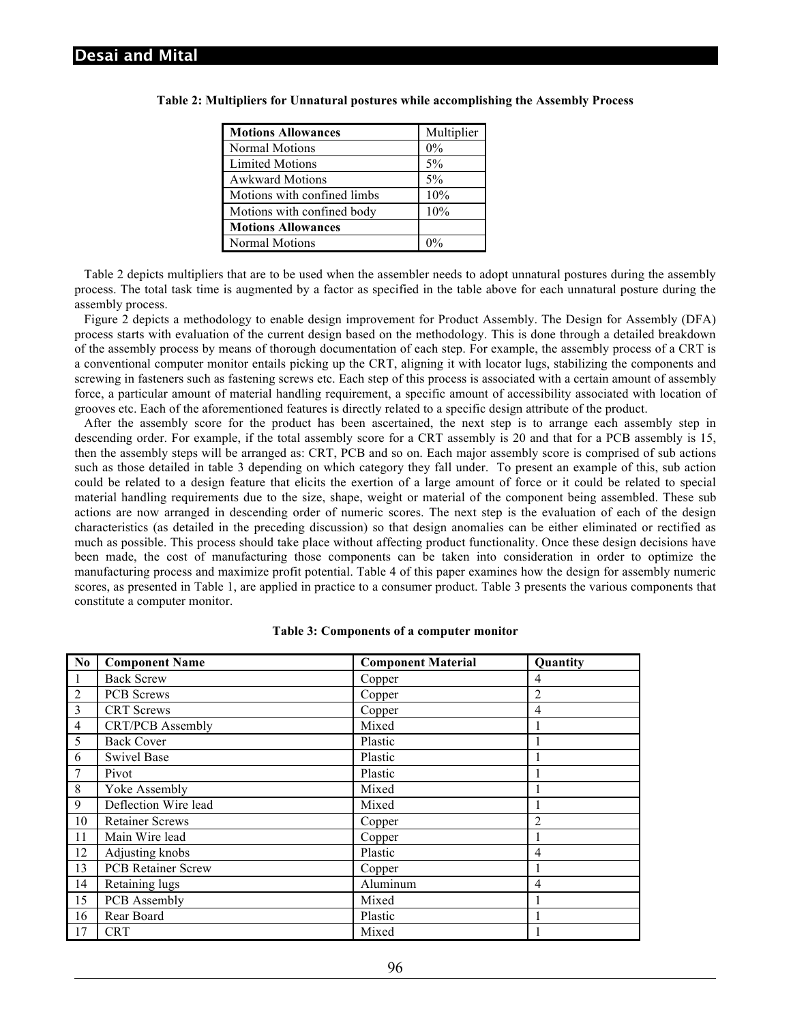| <b>Motions Allowances</b>   | Multiplier |
|-----------------------------|------------|
| Normal Motions              | $0\%$      |
| <b>Limited Motions</b>      | 5%         |
| <b>Awkward Motions</b>      | 5%         |
| Motions with confined limbs | 10%        |
| Motions with confined body  | 10%        |
| <b>Motions Allowances</b>   |            |
| Normal Motions              |            |

#### **Table 2: Multipliers for Unnatural postures while accomplishing the Assembly Process**

 Table 2 depicts multipliers that are to be used when the assembler needs to adopt unnatural postures during the assembly process. The total task time is augmented by a factor as specified in the table above for each unnatural posture during the assembly process.

 Figure 2 depicts a methodology to enable design improvement for Product Assembly. The Design for Assembly (DFA) process starts with evaluation of the current design based on the methodology. This is done through a detailed breakdown of the assembly process by means of thorough documentation of each step. For example, the assembly process of a CRT is a conventional computer monitor entails picking up the CRT, aligning it with locator lugs, stabilizing the components and screwing in fasteners such as fastening screws etc. Each step of this process is associated with a certain amount of assembly force, a particular amount of material handling requirement, a specific amount of accessibility associated with location of grooves etc. Each of the aforementioned features is directly related to a specific design attribute of the product.

 After the assembly score for the product has been ascertained, the next step is to arrange each assembly step in descending order. For example, if the total assembly score for a CRT assembly is 20 and that for a PCB assembly is 15, then the assembly steps will be arranged as: CRT, PCB and so on. Each major assembly score is comprised of sub actions such as those detailed in table 3 depending on which category they fall under. To present an example of this, sub action could be related to a design feature that elicits the exertion of a large amount of force or it could be related to special material handling requirements due to the size, shape, weight or material of the component being assembled. These sub actions are now arranged in descending order of numeric scores. The next step is the evaluation of each of the design characteristics (as detailed in the preceding discussion) so that design anomalies can be either eliminated or rectified as much as possible. This process should take place without affecting product functionality. Once these design decisions have been made, the cost of manufacturing those components can be taken into consideration in order to optimize the manufacturing process and maximize profit potential. Table 4 of this paper examines how the design for assembly numeric scores, as presented in Table 1, are applied in practice to a consumer product. Table 3 presents the various components that constitute a computer monitor.

| N <sub>0</sub> | <b>Component Name</b>     | <b>Component Material</b> | Quantity       |
|----------------|---------------------------|---------------------------|----------------|
| 1              | <b>Back Screw</b>         | Copper                    | 4              |
| $\overline{2}$ | <b>PCB</b> Screws         | Copper                    | $\overline{2}$ |
| 3              | <b>CRT</b> Screws         | Copper                    | 4              |
| $\overline{4}$ | <b>CRT/PCB</b> Assembly   | Mixed                     |                |
| 5              | <b>Back Cover</b>         | Plastic                   |                |
| 6              | <b>Swivel Base</b>        | Plastic                   |                |
| 7              | Pivot                     | Plastic                   |                |
| 8              | Yoke Assembly             | Mixed                     |                |
| 9              | Deflection Wire lead      | Mixed                     |                |
| 10             | <b>Retainer Screws</b>    | Copper                    | $\overline{2}$ |
| 11             | Main Wire lead            | Copper                    |                |
| 12             | Adjusting knobs           | Plastic                   | $\overline{4}$ |
| 13             | <b>PCB</b> Retainer Screw | Copper                    |                |
| 14             | Retaining lugs            | Aluminum                  | 4              |
| 15             | PCB Assembly              | Mixed                     |                |
| 16             | Rear Board                | Plastic                   |                |
| 17             | <b>CRT</b>                | Mixed                     |                |

#### **Table 3: Components of a computer monitor**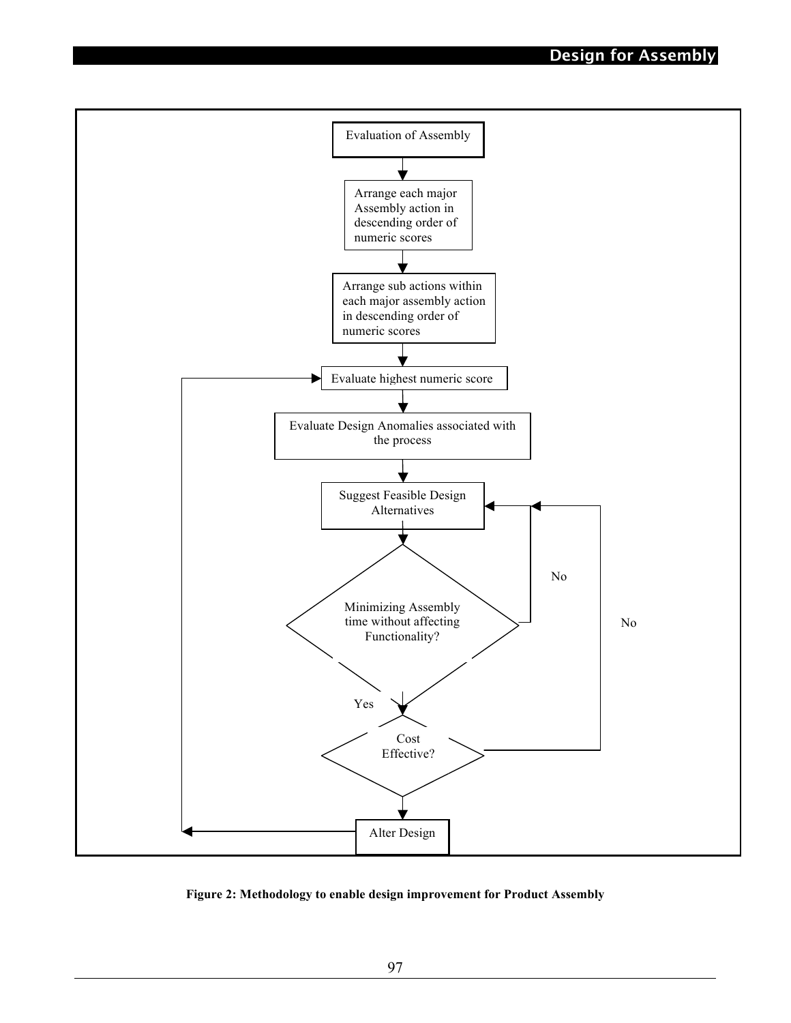

**Figure 2: Methodology to enable design improvement for Product Assembly**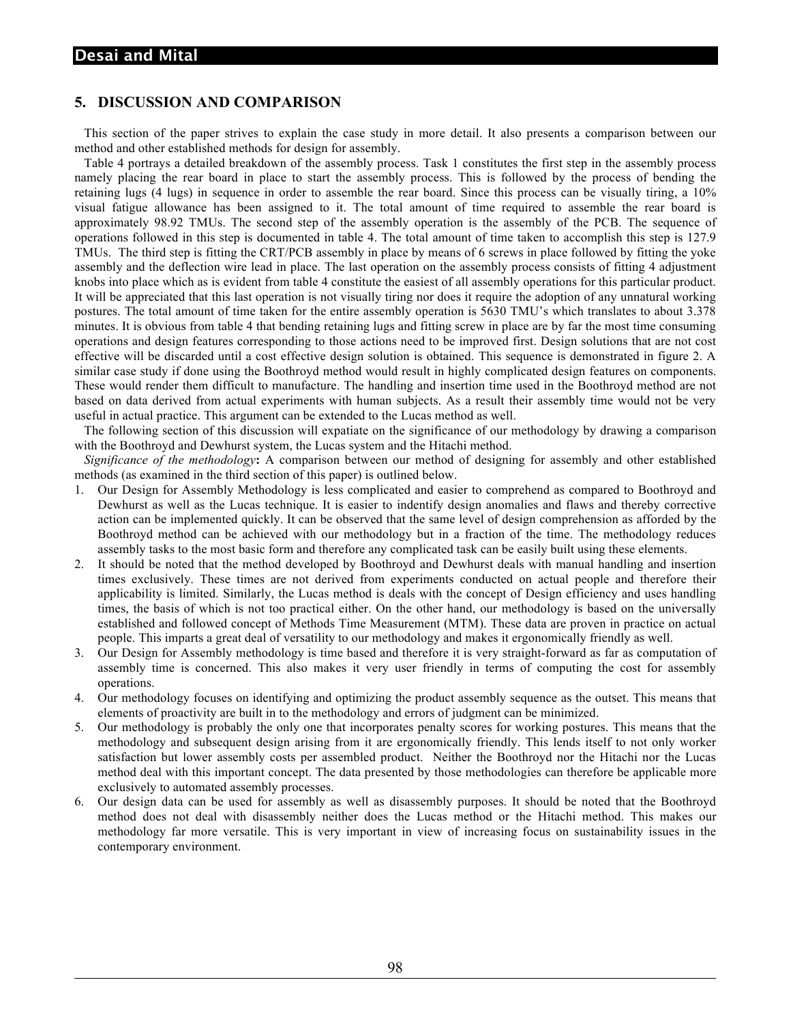# **5. DISCUSSION AND COMPARISON**

 This section of the paper strives to explain the case study in more detail. It also presents a comparison between our method and other established methods for design for assembly.

 Table 4 portrays a detailed breakdown of the assembly process. Task 1 constitutes the first step in the assembly process namely placing the rear board in place to start the assembly process. This is followed by the process of bending the retaining lugs (4 lugs) in sequence in order to assemble the rear board. Since this process can be visually tiring, a 10% visual fatigue allowance has been assigned to it. The total amount of time required to assemble the rear board is approximately 98.92 TMUs. The second step of the assembly operation is the assembly of the PCB. The sequence of operations followed in this step is documented in table 4. The total amount of time taken to accomplish this step is 127.9 TMUs. The third step is fitting the CRT/PCB assembly in place by means of 6 screws in place followed by fitting the yoke assembly and the deflection wire lead in place. The last operation on the assembly process consists of fitting 4 adjustment knobs into place which as is evident from table 4 constitute the easiest of all assembly operations for this particular product. It will be appreciated that this last operation is not visually tiring nor does it require the adoption of any unnatural working postures. The total amount of time taken for the entire assembly operation is 5630 TMU's which translates to about 3.378 minutes. It is obvious from table 4 that bending retaining lugs and fitting screw in place are by far the most time consuming operations and design features corresponding to those actions need to be improved first. Design solutions that are not cost effective will be discarded until a cost effective design solution is obtained. This sequence is demonstrated in figure 2. A similar case study if done using the Boothroyd method would result in highly complicated design features on components. These would render them difficult to manufacture. The handling and insertion time used in the Boothroyd method are not based on data derived from actual experiments with human subjects. As a result their assembly time would not be very useful in actual practice. This argument can be extended to the Lucas method as well.

 The following section of this discussion will expatiate on the significance of our methodology by drawing a comparison with the Boothroyd and Dewhurst system, the Lucas system and the Hitachi method.

 *Significance of the methodology***:** A comparison between our method of designing for assembly and other established methods (as examined in the third section of this paper) is outlined below.

- 1. Our Design for Assembly Methodology is less complicated and easier to comprehend as compared to Boothroyd and Dewhurst as well as the Lucas technique. It is easier to indentify design anomalies and flaws and thereby corrective action can be implemented quickly. It can be observed that the same level of design comprehension as afforded by the Boothroyd method can be achieved with our methodology but in a fraction of the time. The methodology reduces assembly tasks to the most basic form and therefore any complicated task can be easily built using these elements.
- 2. It should be noted that the method developed by Boothroyd and Dewhurst deals with manual handling and insertion times exclusively. These times are not derived from experiments conducted on actual people and therefore their applicability is limited. Similarly, the Lucas method is deals with the concept of Design efficiency and uses handling times, the basis of which is not too practical either. On the other hand, our methodology is based on the universally established and followed concept of Methods Time Measurement (MTM). These data are proven in practice on actual people. This imparts a great deal of versatility to our methodology and makes it ergonomically friendly as well.
- 3. Our Design for Assembly methodology is time based and therefore it is very straight-forward as far as computation of assembly time is concerned. This also makes it very user friendly in terms of computing the cost for assembly operations.
- 4. Our methodology focuses on identifying and optimizing the product assembly sequence as the outset. This means that elements of proactivity are built in to the methodology and errors of judgment can be minimized.
- 5. Our methodology is probably the only one that incorporates penalty scores for working postures. This means that the methodology and subsequent design arising from it are ergonomically friendly. This lends itself to not only worker satisfaction but lower assembly costs per assembled product. Neither the Boothroyd nor the Hitachi nor the Lucas method deal with this important concept. The data presented by those methodologies can therefore be applicable more exclusively to automated assembly processes.
- 6. Our design data can be used for assembly as well as disassembly purposes. It should be noted that the Boothroyd method does not deal with disassembly neither does the Lucas method or the Hitachi method. This makes our methodology far more versatile. This is very important in view of increasing focus on sustainability issues in the contemporary environment.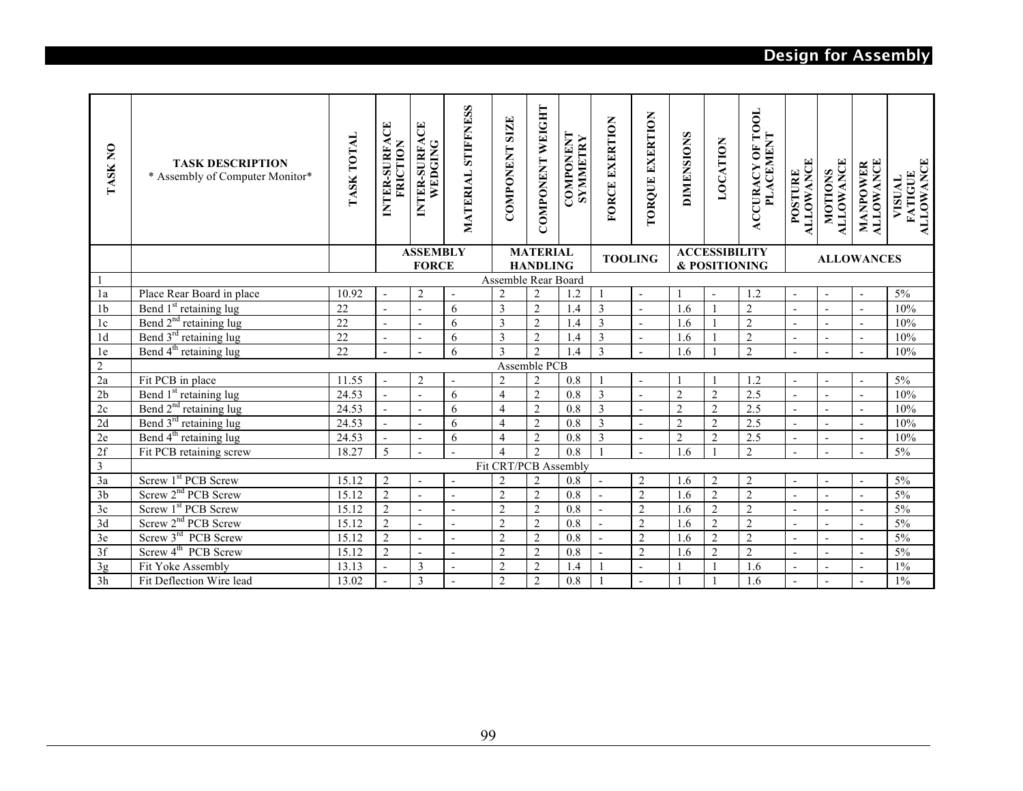# **Design for Assembly**

| <b>TASK NO</b>  | <b>TASK DESCRIPTION</b><br>* Assembly of Computer Monitor* | <b>TASK TOTAL</b> | INTER-SURFACE<br>FRICTION | INTER-SURFACE<br>WEDGING        | <b>STIFFNESS</b><br>MATERIAL | <b>SIZE</b><br><b>COMPONENT</b> | COMPONENT WEIGHT                   | <b>COMPONENT</b><br>SYMMETRY | FORCE EXERTION | <b>TORQUE EXERTION</b>   | <b>DIMENSIONS</b> | LOCATION                              | <b>OF TOOL</b><br><b>PLACEMENT</b><br><b>ACCURACY</b> | <b>ALLOWANCE</b><br>POSTURE | <b>ALLOWANCE</b><br><b>MOTIONS</b> | <b>ALLOWANCE</b><br>MANPOWER | <b>ALLOWANCE</b><br><b>FATIGUE</b><br>VISUAL |
|-----------------|------------------------------------------------------------|-------------------|---------------------------|---------------------------------|------------------------------|---------------------------------|------------------------------------|------------------------------|----------------|--------------------------|-------------------|---------------------------------------|-------------------------------------------------------|-----------------------------|------------------------------------|------------------------------|----------------------------------------------|
|                 |                                                            |                   |                           | <b>ASSEMBLY</b><br><b>FORCE</b> |                              |                                 | <b>MATERIAL</b><br><b>HANDLING</b> |                              | <b>TOOLING</b> |                          |                   | <b>ACCESSIBILITY</b><br>& POSITIONING |                                                       |                             |                                    | <b>ALLOWANCES</b>            |                                              |
| $\mathbf{1}$    |                                                            |                   |                           |                                 |                              | Assemble Rear Board             |                                    |                              |                |                          |                   |                                       |                                                       |                             |                                    |                              |                                              |
| 1a              | Place Rear Board in place                                  | 10.92             |                           | $\overline{2}$                  | $\blacksquare$               | $\overline{2}$                  | $\overline{2}$                     | 1.2                          | $\mathbf{1}$   | $\overline{\phantom{a}}$ |                   |                                       | 1.2                                                   | $\overline{\phantom{a}}$    | $\blacksquare$                     | $\overline{\phantom{a}}$     | $5\%$                                        |
| 1 <sub>b</sub>  | Bend 1 <sup>st</sup> retaining lug                         | 22                |                           | $\overline{a}$                  | 6                            | $\overline{3}$                  | $\overline{2}$                     | 1.4                          | $\overline{3}$ | ÷,                       | 1.6               |                                       | $\overline{2}$                                        | $\overline{a}$              | $\overline{a}$                     | $\blacksquare$               | 10%                                          |
| 1c              | Bend 2 <sup>nd</sup> retaining lug                         | 22                |                           | $\overline{a}$                  | 6                            | 3                               | $\overline{2}$                     | 1.4                          | $\overline{3}$ | $\overline{a}$           | 1.6               |                                       | $\overline{c}$                                        | $\overline{a}$              |                                    | $\overline{a}$               | 10%                                          |
| 1 <sub>d</sub>  | Bend 3 <sup>rd</sup> retaining lug                         | $\overline{22}$   |                           | $\overline{\phantom{a}}$        | 6                            | 3                               | $\overline{2}$                     | 1.4                          | $\overline{3}$ | $\overline{a}$           | 1.6               |                                       | $\overline{2}$                                        | $\overline{\phantom{a}}$    | $\blacksquare$                     | $\blacksquare$               | 10%                                          |
| 1e              | Bend 4 <sup>th</sup> retaining lug                         | 22                |                           | $\overline{a}$                  | 6                            | $\overline{\mathbf{3}}$         | $\overline{2}$                     | 1.4                          | $\overline{3}$ |                          | 1.6               |                                       | $\overline{2}$                                        | $\overline{a}$              | $\overline{a}$                     | $\overline{a}$               | 10%                                          |
| $\sqrt{2}$      |                                                            |                   |                           |                                 |                              |                                 | Assemble PCB                       |                              |                |                          |                   |                                       |                                                       |                             |                                    |                              |                                              |
| 2a              | Fit PCB in place                                           | 11.55             | $\overline{a}$            | $\overline{2}$                  | $\overline{\phantom{a}}$     | $\overline{2}$                  | $\overline{2}$                     | 0.8                          |                | $\overline{\phantom{a}}$ |                   |                                       | 1.2                                                   | $\blacksquare$              | $\blacksquare$                     | $\overline{\phantom{a}}$     | 5%                                           |
| 2 <sub>b</sub>  | Bend 1 <sup>st</sup> retaining lug                         | 24.53             | $\overline{a}$            | $\mathbf{r}$                    | 6                            | $\overline{4}$                  | $\overline{2}$                     | 0.8                          | $\overline{3}$ | $\overline{\phantom{a}}$ | $\overline{2}$    | $\overline{2}$                        | 2.5                                                   | $\overline{a}$              | $\overline{a}$                     | $\overline{a}$               | 10%                                          |
| $2\mathrm{c}$   | Bend 2 <sup>nd</sup> retaining lug                         | 24.53             |                           | $\mathbf{r}$                    | 6                            | $\overline{4}$                  | $\overline{2}$                     | 0.8                          | $\overline{3}$ | $\overline{\phantom{a}}$ | $\overline{2}$    | $\overline{2}$                        | 2.5                                                   | $\overline{\phantom{a}}$    | $\blacksquare$                     | $\blacksquare$               | 10%                                          |
| 2d              | Bend 3 <sup>rd</sup> retaining lug                         | 24.53             | $\blacksquare$            | $\overline{a}$                  | 6                            | $\overline{4}$                  | $\overline{c}$                     | 0.8                          | $\overline{3}$ | $\overline{\phantom{a}}$ | $\overline{c}$    | $\overline{2}$                        | 2.5                                                   | $\overline{\phantom{a}}$    | $\blacksquare$                     | $\blacksquare$               | 10%                                          |
| 2e              | Bend 4 <sup>th</sup> retaining lug                         | 24.53             |                           | $\overline{a}$                  | 6                            | $\overline{4}$                  | $\overline{2}$                     | 0.8                          | $\overline{3}$ | $\overline{a}$           | $\overline{c}$    | $\overline{2}$                        | $\overline{2.5}$                                      | $\overline{\phantom{a}}$    | $\overline{a}$                     | $\overline{a}$               | 10%                                          |
| 2f              | Fit PCB retaining screw                                    | 18.27             | 5                         |                                 |                              | $\overline{4}$                  | $\overline{2}$                     | 0.8                          |                | $\overline{a}$           | 1.6               | $\mathbf{1}$                          | $\overline{2}$                                        | $\blacksquare$              | $\sim$                             | $\blacksquare$               | 5%                                           |
| $\mathfrak{Z}$  |                                                            |                   |                           |                                 |                              | Fit CRT/PCB Assembly            |                                    |                              |                |                          |                   |                                       |                                                       |                             |                                    |                              |                                              |
| 3a              | Screw 1st PCB Screw                                        | 15.12             | $\overline{c}$            | $\blacksquare$                  |                              | $\sqrt{2}$                      | $\overline{2}$                     | 0.8                          | $\blacksquare$ | $\sqrt{2}$               | 1.6               | $\overline{2}$                        | $\sqrt{2}$                                            | $\overline{\phantom{a}}$    | $\blacksquare$                     | $\overline{\phantom{a}}$     | $5\%$                                        |
| $\overline{3b}$ | Screw 2 <sup>nd</sup> PCB Screw                            | 15.12             | $\overline{2}$            | $\overline{\phantom{a}}$        | $\sim$                       | $\overline{2}$                  | $\overline{2}$                     | $\overline{0.8}$             | $\mathbf{r}$   | $\overline{2}$           | 1.6               | $\overline{2}$                        | $\overline{2}$                                        | $\overline{a}$              | $\overline{a}$                     | $\blacksquare$               | 5%                                           |
| 3c              | Screw 1st PCB Screw                                        | 15.12             | $\overline{2}$            | $\overline{\phantom{a}}$        | $\overline{a}$               | $\overline{c}$                  | $\overline{2}$                     | $\overline{0.8}$             | $\sim$         | $\overline{2}$           | 1.6               | $\overline{2}$                        | $\overline{2}$                                        | $\overline{\phantom{a}}$    | $\blacksquare$                     | $\blacksquare$               | 5%                                           |
| 3d              | Screw 2 <sup>nd</sup> PCB Screw                            | 15.12             | $\overline{c}$            |                                 |                              | $\overline{2}$                  | $\overline{2}$                     | 0.8                          |                | $\sqrt{2}$               | 1.6               | $\overline{2}$                        | $\sqrt{2}$                                            | $\overline{\phantom{a}}$    | $\sim$                             | $\overline{\phantom{a}}$     | 5%                                           |
| $3\mathrm{e}$   | Screw 3rd PCB Screw                                        | 15.12             | $\overline{2}$            | $\blacksquare$                  | $\blacksquare$               | $\overline{2}$                  | $\overline{2}$                     | 0.8                          | $\overline{a}$ | $\overline{2}$           | 1.6               | $\overline{2}$                        | $\overline{2}$                                        | $\overline{a}$              | $\overline{\phantom{a}}$           | $\overline{\phantom{a}}$     | 5%                                           |
| 3f              | Screw 4 <sup>th</sup> PCB Screw                            | 15.12             | $\overline{2}$            | $\mathbf{r}$                    | $\sim$                       | $\overline{2}$                  | $\overline{2}$                     | 0.8                          | $\overline{a}$ | $\overline{2}$           | 1.6               | $\overline{2}$                        | $\overline{2}$                                        | $\overline{a}$              | $\sim$                             | $\sim$                       | 5%                                           |
| 3g              | Fit Yoke Assembly                                          | 13.13             |                           | $\mathfrak{Z}$                  |                              | $\overline{2}$                  | $\overline{2}$                     | 1.4                          |                | $\overline{\phantom{a}}$ |                   |                                       | 1.6                                                   | $\overline{\phantom{a}}$    | $\blacksquare$                     | $\overline{\phantom{a}}$     | $1\%$                                        |
| 3h              | Fit Deflection Wire lead                                   | 13.02             |                           | 3                               |                              | $\overline{2}$                  | $\overline{2}$                     | 0.8                          |                | $\overline{\phantom{a}}$ |                   |                                       | 1.6                                                   | $\overline{\phantom{a}}$    | $\blacksquare$                     | $\overline{\phantom{a}}$     | 1%                                           |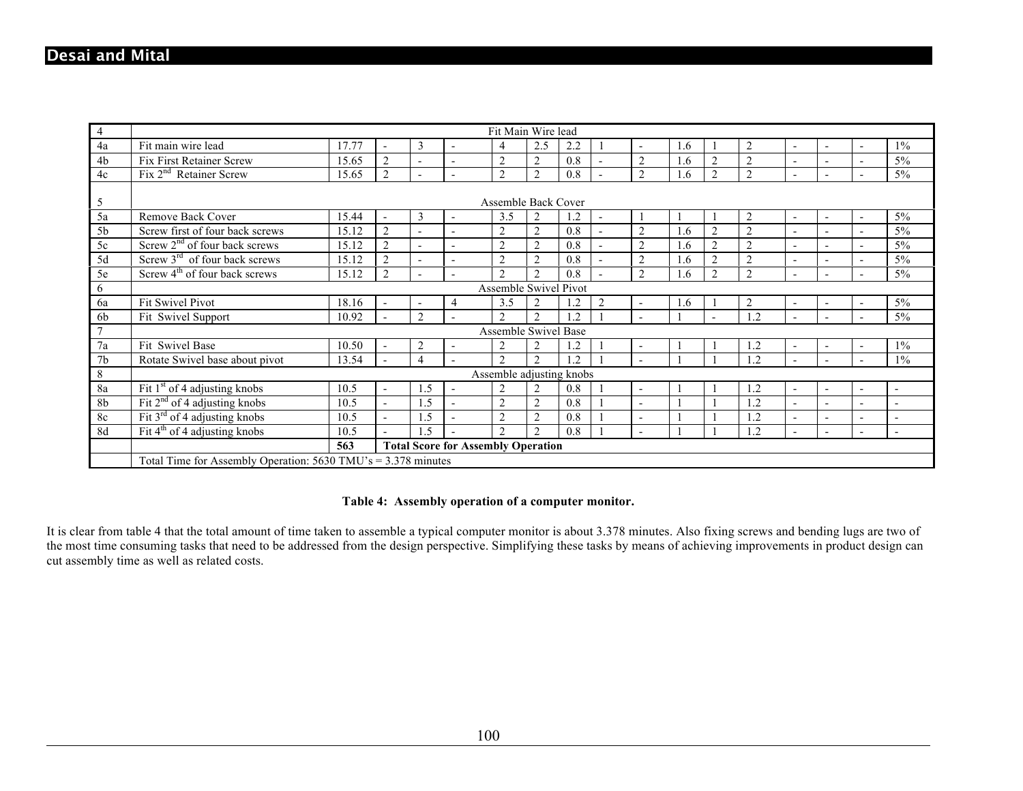| $\overline{4}$  | Fit Main Wire lead                                                                                                                                                                                                                |                                                  |                          |                          |                          |                             |                |         |                |                          |            |                             |                |                          |                          |                          |                          |
|-----------------|-----------------------------------------------------------------------------------------------------------------------------------------------------------------------------------------------------------------------------------|--------------------------------------------------|--------------------------|--------------------------|--------------------------|-----------------------------|----------------|---------|----------------|--------------------------|------------|-----------------------------|----------------|--------------------------|--------------------------|--------------------------|--------------------------|
| 4a              | Fit main wire lead                                                                                                                                                                                                                | 17.77                                            |                          | 3                        | $\overline{\phantom{0}}$ | $\overline{4}$              | 2.5            | 2.2     |                | $\overline{a}$           | 1.6        |                             | $\overline{2}$ | $\overline{\phantom{0}}$ | $\overline{a}$           | $\overline{\phantom{0}}$ | $1\%$                    |
| 4b              | <b>Fix First Retainer Screw</b>                                                                                                                                                                                                   | 15.65                                            | $\overline{2}$           | $\overline{\phantom{0}}$ | $\blacksquare$           | $\overline{2}$              | $\overline{2}$ | 0.8     |                | $\overline{2}$           | .6         | $\overline{2}$              | $\overline{2}$ |                          | $\overline{\phantom{0}}$ | ÷                        | $5\%$                    |
| 4c              | $Fix 2nd$ Retainer Screw                                                                                                                                                                                                          | 15.65                                            | $\overline{2}$           |                          | $\overline{a}$           | $\overline{2}$              | $\overline{2}$ | 0.8     |                | $\overline{2}$           | 1.6        | $\overline{2}$              | $\overline{2}$ | $\overline{\phantom{a}}$ | $\overline{a}$           | $\overline{\phantom{0}}$ | $5\%$                    |
|                 |                                                                                                                                                                                                                                   |                                                  |                          |                          |                          |                             |                |         |                |                          |            |                             |                |                          |                          |                          |                          |
| 5               | Assemble Back Cover                                                                                                                                                                                                               |                                                  |                          |                          |                          |                             |                |         |                |                          |            |                             |                |                          |                          |                          |                          |
| 5a              | Remove Back Cover<br>$5\%$<br>15.44<br>3<br>3.5<br>2<br>1.2<br>$\overline{2}$<br>$\overline{\phantom{0}}$<br>$\overline{\phantom{a}}$<br>$\blacksquare$<br>$\overline{\phantom{0}}$<br>$\blacksquare$<br>$\overline{\phantom{0}}$ |                                                  |                          |                          |                          |                             |                |         |                |                          |            |                             |                |                          |                          |                          |                          |
| 5 <sub>b</sub>  | Screw first of four back screws                                                                                                                                                                                                   | 15.12                                            | $\overline{2}$           | $\overline{a}$           | $\overline{a}$           | $\overline{2}$              | $\overline{2}$ | 0.8     |                | $\overline{2}$           | .6         | $\overline{2}$              | $\overline{2}$ | $\overline{\phantom{a}}$ | $\overline{a}$           | $\overline{a}$           | $5\%$                    |
| 5c              | Screw $2nd$ of four back screws                                                                                                                                                                                                   | 15.12                                            | $\overline{2}$           | $\overline{a}$           | $\overline{\phantom{0}}$ | $\overline{2}$              | $\overline{2}$ | 0.8     |                | $\overline{2}$           | 1.6        | $\overline{2}$              | $\overline{2}$ | $\overline{\phantom{a}}$ | $\overline{a}$           | $\overline{\phantom{a}}$ | $5\%$                    |
| 5d              | $\overline{\text{Sctew 3}}^{\text{rd}}$ of four back screws                                                                                                                                                                       | 15.12                                            | $\overline{2}$           |                          | $\overline{a}$           | $\overline{2}$              | $\overline{2}$ | 0.8     |                | $\overline{2}$           | .6         | $\overline{2}$              | $\overline{2}$ | $\overline{\phantom{a}}$ | $\overline{a}$           | $\overline{a}$           | $5\%$                    |
| 5e              | Screw $4th$ of four back screws                                                                                                                                                                                                   | 15.12                                            | $\overline{2}$           | $\overline{a}$           | $\overline{a}$           | $\mathcal{D}_{\mathcal{L}}$ | $\mathfrak{D}$ | 0.8     |                | $\mathfrak{D}$           | <u>1.6</u> | $\mathcal{D}_{\mathcal{L}}$ | $\overline{2}$ | $\overline{\phantom{a}}$ | $\overline{a}$           | $\overline{\phantom{a}}$ | $5\%$                    |
| 6               | Assemble Swivel Pivot                                                                                                                                                                                                             |                                                  |                          |                          |                          |                             |                |         |                |                          |            |                             |                |                          |                          |                          |                          |
| 6a              | Fit Swivel Pivot                                                                                                                                                                                                                  | 18.16                                            |                          | $\overline{\phantom{a}}$ | 4                        | 3.5                         | $\overline{2}$ | 1.2     | $\overline{2}$ | $\overline{a}$           | 1.6        |                             | $\overline{2}$ | $\overline{\phantom{0}}$ | $\overline{\phantom{0}}$ | $\blacksquare$           | $5\%$                    |
| 6 <sub>b</sub>  | Fit Swivel Support                                                                                                                                                                                                                | 10.92                                            |                          | 2                        | $\overline{a}$           | $\overline{2}$              | $\overline{2}$ | 1.2     |                | $\overline{a}$           |            |                             | 1.2            | $\overline{\phantom{a}}$ | $\overline{\phantom{0}}$ | $\overline{a}$           | $5\%$                    |
| $7\phantom{.0}$ |                                                                                                                                                                                                                                   |                                                  |                          |                          |                          | Assemble Swivel Base        |                |         |                |                          |            |                             |                |                          |                          |                          |                          |
| 7a              | Fit Swivel Base                                                                                                                                                                                                                   | 10.50                                            |                          | $\overline{2}$           | $\overline{\phantom{a}}$ | $\overline{2}$              | $\overline{2}$ | $\cdot$ |                | $\overline{\phantom{a}}$ |            |                             | 1.2            | $\overline{\phantom{0}}$ | $\overline{\phantom{a}}$ | $\overline{\phantom{a}}$ | $1\%$                    |
| 7 <sub>b</sub>  | Rotate Swivel base about pivot                                                                                                                                                                                                    | 13.54                                            |                          | $\overline{4}$           |                          | $\overline{2}$              | $\mathfrak{D}$ | 1.2     |                | $\overline{a}$           |            |                             | 1.2            | $\overline{\phantom{a}}$ | $\overline{a}$           | $\overline{\phantom{a}}$ | $1\%$                    |
| $\,8\,$         |                                                                                                                                                                                                                                   |                                                  |                          |                          |                          | Assemble adjusting knobs    |                |         |                |                          |            |                             |                |                          |                          |                          |                          |
| 8a              | Fit $1st$ of 4 adjusting knobs                                                                                                                                                                                                    | 10.5                                             | $\overline{\phantom{a}}$ | 1.5                      | $\overline{\phantom{a}}$ | $\overline{2}$              | $\overline{2}$ | 0.8     |                | $\overline{a}$           |            |                             | 1.2            | $\overline{\phantom{a}}$ | $\overline{a}$           | $\overline{\phantom{a}}$ | $\overline{\phantom{a}}$ |
| 8b              | Fit $2nd$ of 4 adjusting knobs                                                                                                                                                                                                    | 10.5                                             | $\mathbf{r}$             | 1.5                      |                          | $\overline{2}$              | 2              | 0.8     |                | $\overline{\phantom{0}}$ |            |                             | 1.2            | $\overline{\phantom{a}}$ | $\overline{a}$           | $\overline{\phantom{a}}$ | $\overline{\phantom{a}}$ |
| 8c              | Fit $3rd$ of 4 adjusting knobs                                                                                                                                                                                                    | 10.5                                             | $\mathbf{r}$             | 1.5                      | $\overline{a}$           | $\overline{2}$              | $\overline{2}$ | 0.8     |                | $\overline{a}$           |            |                             | 1.2            | $\overline{\phantom{a}}$ | $\overline{a}$           | $\overline{\phantom{a}}$ | $\overline{\phantom{a}}$ |
| 8d              | Fit $4th$ of 4 adjusting knobs                                                                                                                                                                                                    | 10.5                                             | $\overline{a}$           | 1.5                      |                          | $\overline{2}$              | $\overline{2}$ | 0.8     |                | $\overline{a}$           |            |                             | 1.2            | $\overline{\phantom{a}}$ | $\overline{\phantom{0}}$ | $\overline{\phantom{a}}$ | $\overline{\phantom{0}}$ |
|                 |                                                                                                                                                                                                                                   | <b>Total Score for Assembly Operation</b><br>563 |                          |                          |                          |                             |                |         |                |                          |            |                             |                |                          |                          |                          |                          |
|                 | Total Time for Assembly Operation: $5630$ TMU's = $3.378$ minutes                                                                                                                                                                 |                                                  |                          |                          |                          |                             |                |         |                |                          |            |                             |                |                          |                          |                          |                          |

#### **Table 4: Assembly operation of a computer monitor.**

It is clear from table 4 that the total amount of time taken to assemble a typical computer monitor is about 3.378 minutes. Also fixing screws and bending lugs are two of the most time consuming tasks that need to be addressed from the design perspective. Simplifying these tasks by means of achieving improvements in product design can cut assembly time as well as related costs.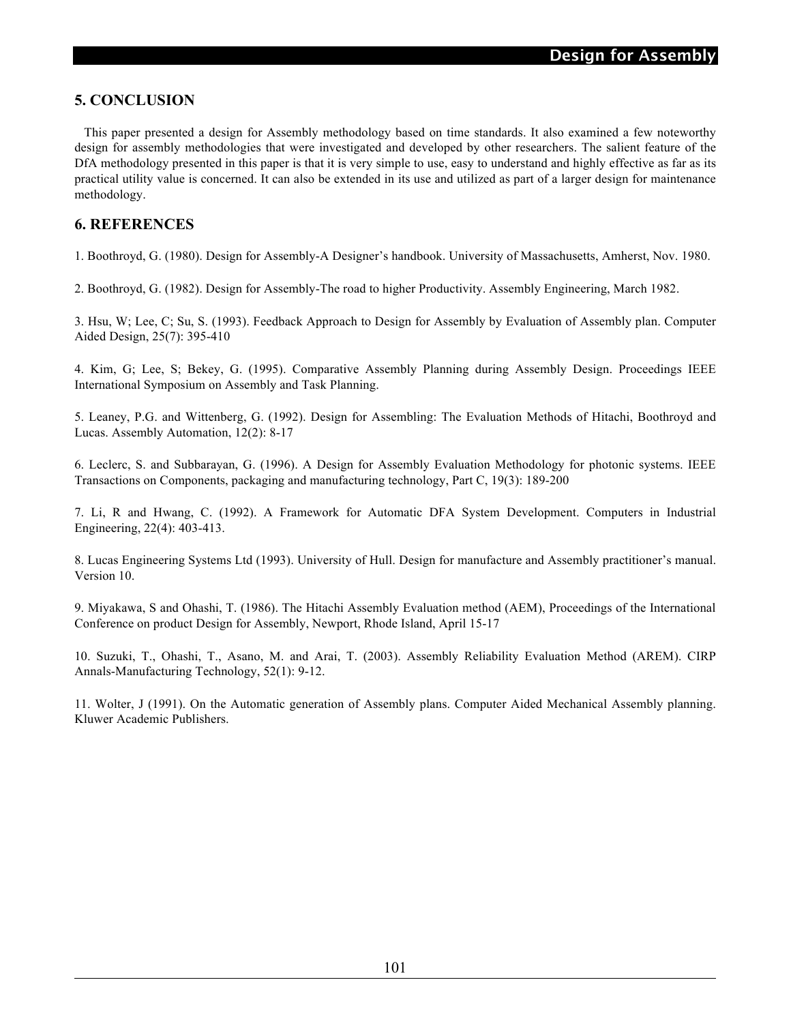# **5. CONCLUSION**

 This paper presented a design for Assembly methodology based on time standards. It also examined a few noteworthy design for assembly methodologies that were investigated and developed by other researchers. The salient feature of the DfA methodology presented in this paper is that it is very simple to use, easy to understand and highly effective as far as its practical utility value is concerned. It can also be extended in its use and utilized as part of a larger design for maintenance methodology.

# **6. REFERENCES**

1. Boothroyd, G. (1980). Design for Assembly-A Designer's handbook. University of Massachusetts, Amherst, Nov. 1980.

2. Boothroyd, G. (1982). Design for Assembly-The road to higher Productivity. Assembly Engineering, March 1982.

3. Hsu, W; Lee, C; Su, S. (1993). Feedback Approach to Design for Assembly by Evaluation of Assembly plan. Computer Aided Design, 25(7): 395-410

4. Kim, G; Lee, S; Bekey, G. (1995). Comparative Assembly Planning during Assembly Design. Proceedings IEEE International Symposium on Assembly and Task Planning.

5. Leaney, P.G. and Wittenberg, G. (1992). Design for Assembling: The Evaluation Methods of Hitachi, Boothroyd and Lucas. Assembly Automation, 12(2): 8-17

6. Leclerc, S. and Subbarayan, G. (1996). A Design for Assembly Evaluation Methodology for photonic systems. IEEE Transactions on Components, packaging and manufacturing technology, Part C, 19(3): 189-200

7. Li, R and Hwang, C. (1992). A Framework for Automatic DFA System Development. Computers in Industrial Engineering, 22(4): 403-413.

8. Lucas Engineering Systems Ltd (1993). University of Hull. Design for manufacture and Assembly practitioner's manual. Version 10.

9. Miyakawa, S and Ohashi, T. (1986). The Hitachi Assembly Evaluation method (AEM), Proceedings of the International Conference on product Design for Assembly, Newport, Rhode Island, April 15-17

10. Suzuki, T., Ohashi, T., Asano, M. and Arai, T. (2003). Assembly Reliability Evaluation Method (AREM). CIRP Annals-Manufacturing Technology, 52(1): 9-12.

11. Wolter, J (1991). On the Automatic generation of Assembly plans. Computer Aided Mechanical Assembly planning. Kluwer Academic Publishers.